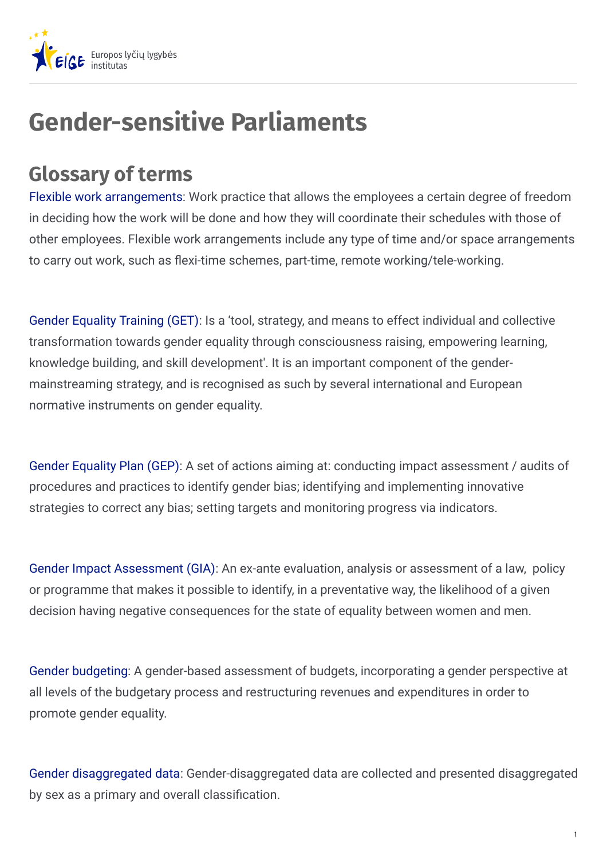

## **Gender-sensitive Parliaments**

## **Glossary of terms**

Flexible work [arrangements](http://www.businessdictionary.com/definition/flexible-work.html): Work practice that allows the employees a certain degree of freedom in deciding how the work will be done and how they will coordinate their schedules with those of other employees. Flexible work arrangements include any type of time and/or space arrangements to carry out work, such as flexi-time schemes, part-time, remote working/tele-working.

Gender Equality [Training](https://eige.europa.eu/gender-mainstreaming/tools-and-methods/gender-equality-training) (GET): Is a 'tool, strategy, and means to effect individual and collective transformation towards gender equality through consciousness raising, empowering learning, knowledge building, and skill development'. It is an important component of the gendermainstreaming strategy, and is recognised as such by several international and European normative instruments on gender equality.

Gender [Equality](https://eige.europa.eu/gender-mainstreaming/tools-methods/gear/what-gender-equality-plan-gep) Plan (GEP): A set of actions aiming at: conducting impact assessment / audits of procedures and practices to identify gender bias; identifying and implementing innovative strategies to correct any bias; setting targets and monitoring progress via indicators.

Gender Impact [Assessment](https://eige.europa.eu/gender-mainstreaming/tools-and-methods/gender-impact-assessment/what-gender-impact-assessment) (GIA): An ex-ante evaluation, analysis or assessment of a law, policy or programme that makes it possible to identify, in a preventative way, the likelihood of a given decision having negative consequences for the state of equality between women and men.

Gender [budgeting](https://eige.europa.eu/gender-mainstreaming/tools-and-methods/gender-budgeting): A gender-based assessment of budgets, incorporating a gender perspective at all levels of the budgetary process and restructuring revenues and expenditures in order to promote gender equality.

Gender [disaggregated](https://eige.europa.eu/gender-mainstreaming/methods-tools/gender-statistics) data: Gender-disaggregated data are collected and presented disaggregated by sex as a primary and overall classification.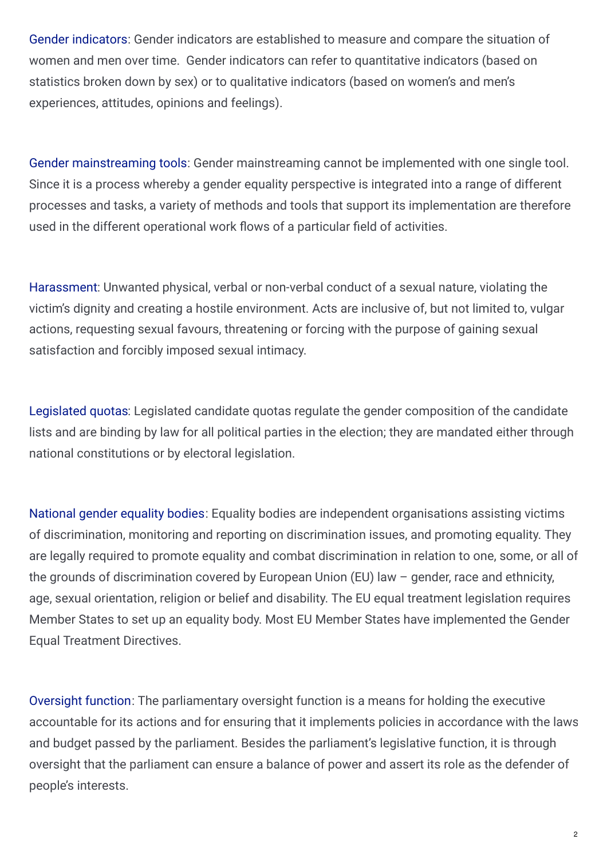Gender [indicators](https://eige.europa.eu/gender-mainstreaming/methods-tools/gender-indicators): Gender indicators are established to measure and compare the situation of women and men over time. Gender indicators can refer to quantitative indicators (based on statistics broken down by sex) or to qualitative indicators (based on women's and men's experiences, attitudes, opinions and feelings).

Gender [mainstreaming](https://eige.europa.eu/gender-mainstreaming/methods-tools) tools: Gender mainstreaming cannot be implemented with one single tool. Since it is a process whereby a gender equality perspective is integrated into a range of different processes and tasks, a variety of methods and tools that support its implementation are therefore used in the different operational work flows of a particular field of activities.

[Harassment](https://eige.europa.eu/rdc/eige-publications/administrative-data-sources-gender-based-violence-against-women-eu-report): Unwanted physical, verbal or non-verbal conduct of a sexual nature, violating the victim's dignity and creating a hostile environment. Acts are inclusive of, but not limited to, vulgar actions, requesting sexual favours, threatening or forcing with the purpose of gaining sexual satisfaction and forcibly imposed sexual intimacy.

[Legislated](http://archive.ipu.org/pdf/publications/atlas-en.pdf) quotas: Legislated candidate quotas regulate the gender composition of the candidate lists and are binding by law for all political parties in the election; they are mandated either through national constitutions or by electoral legislation.

[National](http://www.equineteurope.org/What-is-an-Equality-Body) gender equality bodies: Equality bodies are independent organisations assisting victims of discrimination, monitoring and reporting on discrimination issues, and promoting equality. They are legally required to promote equality and combat discrimination in relation to one, some, or all of the grounds of discrimination covered by European Union (EU) law – gender, race and ethnicity, age, sexual orientation, religion or belief and disability. The EU equal treatment legislation requires Member States to set up an equality body. Most EU Member States have implemented the Gender Equal Treatment Directives.

[Oversight](https://www.agora-parl.org/resources/aoe/oversight) function: The parliamentary oversight function is a means for holding the executive accountable for its actions and for ensuring that it implements policies in accordance with the laws and budget passed by the parliament. Besides the parliament's legislative function, it is through oversight that the parliament can ensure a balance of power and assert its role as the defender of people's interests.